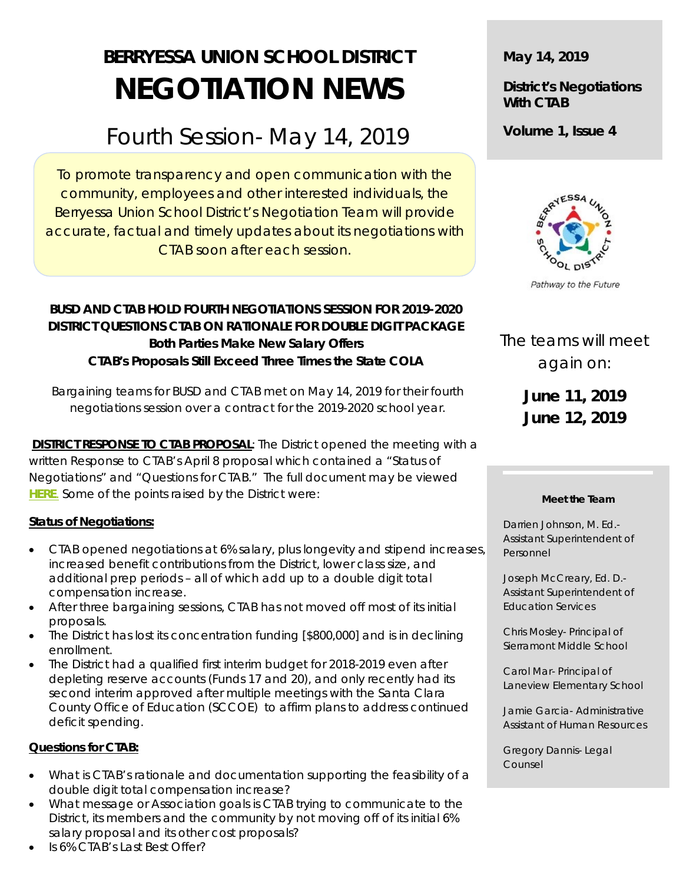# **BERRYESSA UNION SCHOOL DISTRICT NEGOTIATION NEWS**

## Fourth Session- May 14, 2019

To promote transparency and open communication with the community, employees and other interested individuals, the Berryessa Union School District's Negotiation Team will provide accurate, factual and timely updates about its negotiations with CTAB soon after each session.

#### **BUSD AND CTAB HOLD FOURTH NEGOTIATIONS SESSION FOR 2019-2020 DISTRICT QUESTIONS CTAB ON RATIONALE FOR DOUBLE DIGIT PACKAGE Both Parties Make New Salary Offers CTAB's Proposals Still Exceed Three Times the State COLA**

Bargaining teams for BUSD and CTAB met on May 14, 2019 for their fourth negotiations session over a contract for the 2019-2020 school year.

**DISTRICT RESPONSE TO CTAB PROPOSAL:** The District opened the meeting with a written Response to CTAB's April 8 proposal which contained a "Status of Negotiations" and "Questions for CTAB." The full document may be viewed *[HERE](https://docs.google.com/document/d/100-UovigB0wfWy8su2fbgcyf2Vs725nTTYvOeHIfMSY/edit?usp=sharing)*. Some of the points raised by the District were:

#### **Status of Negotiations:**

- CTAB opened negotiations at 6% salary, plus longevity and stipend increases, increased benefit contributions from the District, lower class size, and additional prep periods – all of which add up to a double digit total compensation increase.
- After three bargaining sessions, CTAB has not moved off most of its initial proposals.
- The District has lost its concentration funding [\$800,000] and is in declining enrollment.
- The District had a qualified first interim budget for 2018-2019 even after depleting reserve accounts (Funds 17 and 20), and only recently had its second interim approved after multiple meetings with the Santa Clara County Office of Education (SCCOE) to affirm plans to address continued deficit spending.

#### **Questions for CTAB:**

- What is CTAB's rationale and documentation supporting the feasibility of a double digit total compensation increase?
- What message or Association goals is CTAB trying to communicate to the District, its members and the community by not moving off of its initial 6% salary proposal and its other cost proposals? Is 6% CTAB's Last Best Offer?

**May 14, 2019**

#### **District's Negotiations With CTAB**

**Volume 1, Issue 4**



Pathway to the Future

### The teams will meet again on:

**June 11, 2019 June 12, 2019**

#### **Meet the Team**

Darrien Johnson, M. Ed.- Assistant Superintendent of Personnel

Joseph McCreary, Ed. D.- Assistant Superintendent of Education Services

Chris Mosley- Principal of Sierramont Middle School

Carol Mar- Principal of Laneview Elementary School

Jamie Garcia- Administrative Assistant of Human Resources

Gregory Dannis- Legal Counsel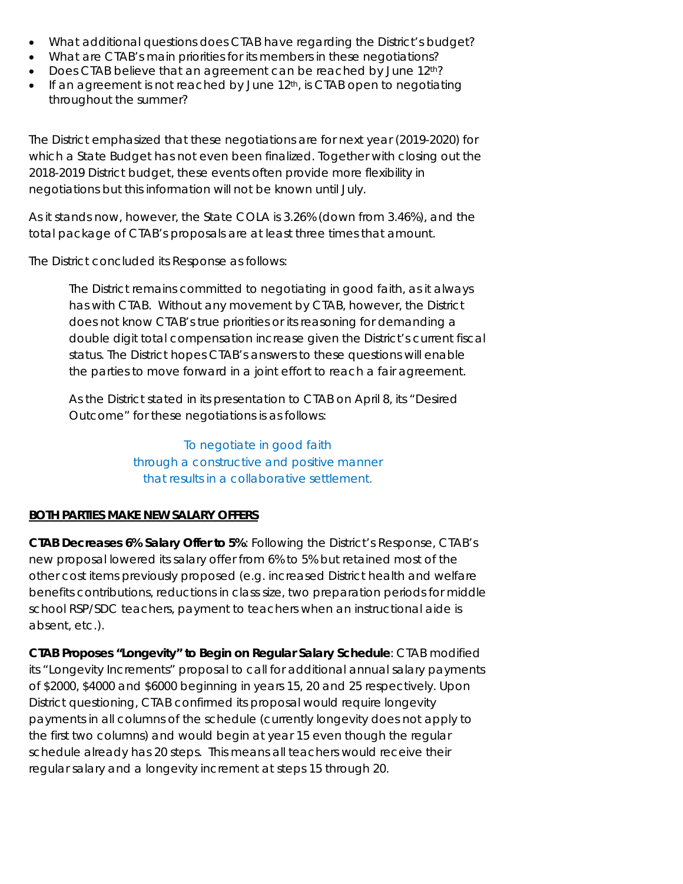- What additional questions does CTAB have regarding the District's budget?
- What are CTAB's main priorities for its members in these negotiations?
- Does CTAB believe that an agreement can be reached by June  $12<sup>th</sup>$ ?
- If an agreement is not reached by June  $12<sup>th</sup>$ , is CTAB open to negotiating throughout the summer?

The District emphasized that these negotiations are for *next year* (2019-2020) for which a State Budget has not even been finalized. Together with closing out the 2018-2019 District budget, these events often provide more flexibility in negotiations but this information will not be known until July.

As it stands now, however, the State COLA is 3.26% (down from 3.46%), and the total package of CTAB's proposals are at least three times that amount.

The District concluded its Response as follows:

The District remains committed to negotiating in good faith, as it always has with CTAB. Without any movement by CTAB, however, the District does not know CTAB's true priorities or its reasoning for demanding a double digit total compensation increase given the District's current fiscal status. The District hopes CTAB's answers to these questions will enable the parties to move forward in a joint effort to reach a fair agreement.

As the District stated in its presentation to CTAB on April 8, its "Desired Outcome" for these negotiations is as follows:

> To negotiate in good faith through a constructive and positive manner that results in a collaborative settlement.

#### **BOTH PARTIES MAKE NEW SALARY OFFERS**

**CTAB Decreases 6% Salary Offer to 5%**: Following the District's Response, CTAB's new proposal lowered its salary offer from 6% to 5% but retained most of the other cost items previously proposed (e.g. increased District health and welfare benefits contributions, reductions in class size, two preparation periods for middle school RSP/SDC teachers, payment to teachers when an instructional aide is absent, etc.).

**CTAB Proposes "Longevity" to Begin on Regular Salary Schedule**: CTAB modified its "Longevity Increments" proposal to call for additional annual salary payments of \$2000, \$4000 and \$6000 beginning in years 15, 20 and 25 respectively. Upon District questioning, CTAB confirmed its proposal would require longevity payments in all columns of the schedule (currently longevity does not apply to the first two columns) and would begin at year 15 even though the regular schedule already has 20 steps. This means all teachers would receive their regular salary and a longevity increment at steps 15 through 20.